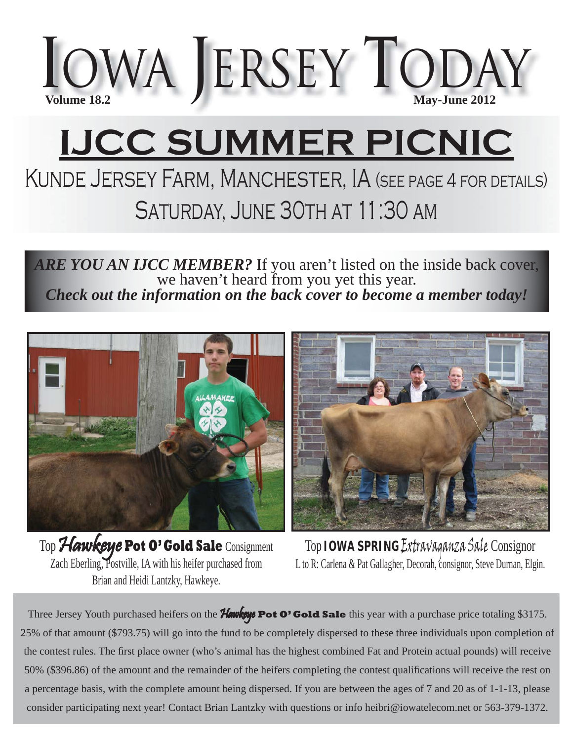

# **IJCC SUMMER PICNIC**

# Kunde Jersey Farm, Manchester, IA (see page 4 for details) Saturday, June 30th at 11:30 am

*ARE YOU AN IJCC MEMBER?* If you aren't listed on the inside back cover, we haven't heard from you yet this year. *Check out the information on the back cover to become a member today!*



Top Hawkeye Pot O' Gold Sale Consignment Zach Eberling, Postville, IA with his heifer purchased from Brian and Heidi Lantzky, Hawkeye.



Top **IOWA SPRING** Extravaganza Sale Consignor L to R: Carlena & Pat Gallagher, Decorah, consignor, Steve Durnan, Elgin.

Three Jersey Youth purchased heifers on the Hawkeye **Pot O' Gold Sale** this year with a purchase price totaling \$3175. 25% of that amount (\$793.75) will go into the fund to be completely dispersed to these three individuals upon completion of the contest rules. The first place owner (who's animal has the highest combined Fat and Protein actual pounds) will receive 50% (\$396.86) of the amount and the remainder of the heifers completing the contest qualifications will receive the rest on a percentage basis, with the complete amount being dispersed. If you are between the ages of 7 and 20 as of 1-1-13, please consider participating next year! Contact Brian Lantzky with questions or info heibri@iowatelecom.net or 563-379-1372.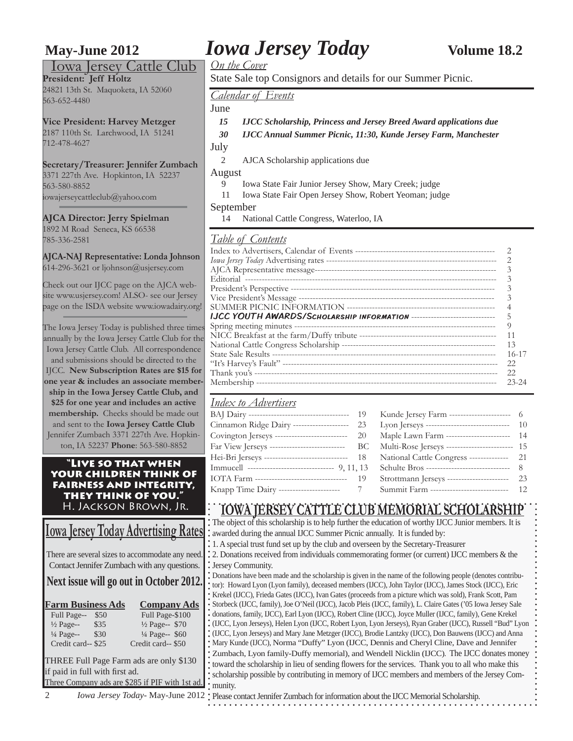### Iowa Jersey Cattle Club

**President: Jeff Holtz** 24821 13th St. Maquoketa, IA 52060 563-652-4480

**Vice President: Harvey Metzger** 2187 110th St. Larchwood, IA 51241 712-478-4627

**Secretary/Treasurer: Jennifer Zumbach** 3371 227th Ave. Hopkinton, IA 52237 563-580-8852

iowajerseycattleclub@yahoo.com

**AJCA Director: Jerry Spielman** 1892 M Road Seneca, KS 66538 785-336-2581

**AJCA-NAJ Representative: Londa Johnson**  614-296-3621 or ljohnson@usjersey.com

Check out our IJCC page on the AJCA website www.usjersey.com! ALSO- see our Jersey page on the ISDA website www.iowadairy.org!

The Iowa Jersey Today is published three times annually by the Iowa Jersey Cattle Club for the Iowa Jersey Cattle Club. All correspondence and submissions should be directed to the IJCC. **New Subscription Rates are \$15 for one year & includes an associate membership in the Iowa Jersey Cattle Club, and \$25 for one year and includes an active membership.** Checks should be made out and sent to the **Iowa Jersey Cattle Club** Jennifer Zumbach 3371 227th Ave. Hopkinton, IA 52237 **Phone**: 563-580-8852

### **"Live so that when your children think of fairness and integrity, they think of you."**  H. Jackson Brown, Jr.

# **Iowa Jersey Today Advertising Rates**

There are several sizes to accommodate any need. Contact Jennifer Zumbach with any questions.

## **Next issue will go out in October 2012.**

| <b>Farm Business Ads</b> |      | <b>Company Ads</b>        |  |  |  |  |
|--------------------------|------|---------------------------|--|--|--|--|
| Full Page--              | \$50 | Full Page-\$100           |  |  |  |  |
| $\frac{1}{2}$ Page--     | \$35 | $\frac{1}{2}$ Page-- \$70 |  |  |  |  |
| $\frac{1}{4}$ Page--     | \$30 | 1/4 Page-- \$60           |  |  |  |  |
| Credit card--\$25        |      | Credit card--\$50         |  |  |  |  |

THREE Full Page Farm ads are only \$130 if paid in full with first ad. Three Company ads are \$285 if PIF with 1st ad.

# **May-June 2012** *Iowa Jersey Today* **<b>Volume 18.2**

*On the Cover*

State Sale top Consignors and details for our Summer Picnic.

*Calendar of Events*

June

- *15 IJCC Scholarship, Princess and Jersey Breed Award applications due*
- *30 IJCC Annual Summer Picnic, 11:30, Kunde Jersey Farm, Manchester*

July

2 AJCA Scholarship applications due

### August

- 9 Iowa State Fair Junior Jersey Show, Mary Creek; judge
- 11 Iowa State Fair Open Jersey Show, Robert Yeoman; judge

### September

14 National Cattle Congress, Waterloo, IA

### *Table of Contents*

| <u>======================</u>                                                   |           |
|---------------------------------------------------------------------------------|-----------|
|                                                                                 |           |
|                                                                                 |           |
|                                                                                 |           |
|                                                                                 |           |
|                                                                                 |           |
|                                                                                 |           |
|                                                                                 |           |
| <b>IJCC YOUTH AWARDS/SCHOLARSHIP INFORMATION ------------------------------</b> |           |
| Spring meeting minutes --                                                       | 9         |
|                                                                                 | 11        |
|                                                                                 | 13        |
|                                                                                 | $16 - 17$ |
|                                                                                 | 22        |
|                                                                                 | 22        |
|                                                                                 | 23-24     |
|                                                                                 |           |

### *Index to Advertisers*

|                                                                | 19  | Kunde Jersey Farm ----------------------       | 6   |
|----------------------------------------------------------------|-----|------------------------------------------------|-----|
| Cinnamon Ridge Dairy --------------------                      | 23  |                                                | 10  |
| Covington Jerseys --<br>------------------                     | 20  | Maple Lawn Farm ------------------------       | 14  |
| Far View Jerseys ---------------------------                   | BC. | Multi-Rose Jerseys --------------------------- | 15  |
| Hei-Bri Jerseys ---                                            | -18 | National Cattle Congress ---------------       | 21  |
|                                                                |     |                                                | - 8 |
| IOTA Farm ----------------------------------                   | 19  | Strottmann Jerseys -----------------------     | 23  |
| Knapp Time Dairy ---------------------<br>$\sim$ $\sim$ $\sim$ |     | Summit Farm ----------------------------       | 12  |
|                                                                |     |                                                |     |

# **IOWA JERSEY CATTLE CLUB MEMORIAL SCHOLARSHIP**

The object of this scholarship is to help further the education of worthy IJCC Junior members. It is awarded during the annual IJCC Summer Picnic annually. It is funded by:

1. A special trust fund set up by the club and overseen by the Secretary-Treasurer

### 2. Donations received from individuals commemorating former (or current) IJCC members & the Jersey Community.

Donations have been made and the scholarship is given in the name of the following people (denotes contributor): Howard Lyon (Lyon family), deceased members (IJCC), John Taylor (IJCC), James Stock (IJCC), Eric Krekel (IJCC), Frieda Gates (IJCC), Ivan Gates (proceeds from a picture which was sold), Frank Scott, Pam Storbeck (IJCC, family), Joe O'Neil (IJCC), Jacob Pleis (IJCC, family), L. Claire Gates ('05 Iowa Jersey Sale donations, family, IJCC), Earl Lyon (IJCC), Robert Cline (IJCC), Joyce Muller (IJCC, family), Gene Krekel (IJCC, Lyon Jerseys), Helen Lyon (IJCC, Robert Lyon, Lyon Jerseys), Ryan Graber (IJCC), Russell "Bud" Lyon (IJCC, Lyon Jerseys) and Mary Jane Metzger (IJCC), Brodie Lantzky (IJCC), Don Bauwens (IJCC) and Anna Mary Kunde (IJCC), Norma "Duffy" Lyon (IJCC, Dennis and Cheryl Cline, Dave and Jennifer Zumbach, Lyon family-Duffy memorial), and Wendell Nicklin (IJCC). The IJCC donates money toward the scholarship in lieu of sending flowers for the services. Thank you to all who make this scholarship possible by contributing in memory of IJCC members and members of the Jersey Community.

2 *Iowa Jersey Today*- May-June 2012 Please contact Jennifer Zumbach for information about the IJCC Memorial Scholarship.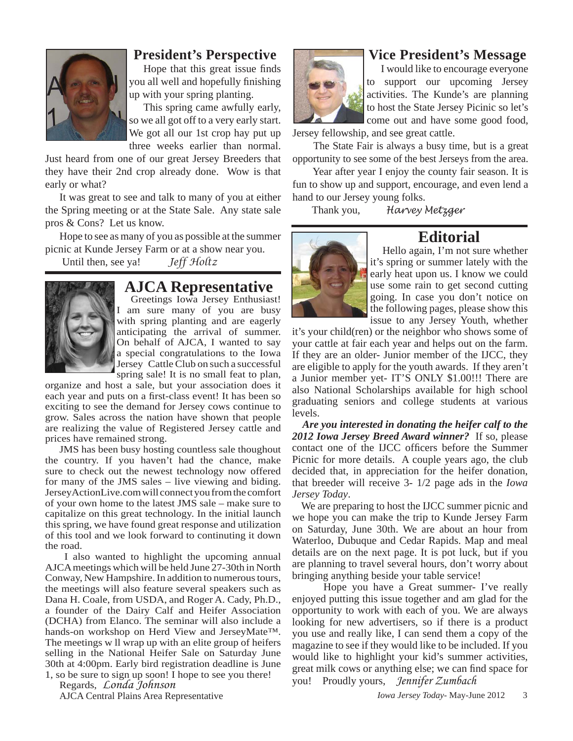

### **President's Perspective**

Hope that this great issue finds you all well and hopefully finishing up with your spring planting.

This spring came awfully early, so we all got off to a very early start. We got all our 1st crop hay put up three weeks earlier than normal.

Just heard from one of our great Jersey Breeders that they have their 2nd crop already done. Wow is that early or what?

It was great to see and talk to many of you at either the Spring meeting or at the State Sale. Any state sale pros & Cons? Let us know.

Hope to see as many of you as possible at the summer picnic at Kunde Jersey Farm or at a show near you.

Until then, see ya! *Jeff Holtz*



# **AJCA Representative**

Greetings Iowa Jersey Enthusiast! I am sure many of you are busy with spring planting and are eagerly anticipating the arrival of summer. On behalf of AJCA, I wanted to say a special congratulations to the Iowa Jersey Cattle Club on such a successful spring sale! It is no small feat to plan,

organize and host a sale, but your association does it each year and puts on a first-class event! It has been so exciting to see the demand for Jersey cows continue to grow. Sales across the nation have shown that people are realizing the value of Registered Jersey cattle and prices have remained strong.

JMS has been busy hosting countless sale thoughout the country. If you haven't had the chance, make sure to check out the newest technology now offered for many of the JMS sales – live viewing and biding. JerseyActionLive.com will connect you from the comfort of your own home to the latest JMS sale – make sure to capitalize on this great technology. In the initial launch this spring, we have found great response and utilization of this tool and we look forward to continuting it down the road.

 I also wanted to highlight the upcoming annual AJCA meetings which will be held June 27-30th in North Conway, New Hampshire. In addition to numerous tours, the meetings will also feature several speakers such as Dana H. Coale, from USDA, and Roger A. Cady, Ph.D., a founder of the Dairy Calf and Heifer Association (DCHA) from Elanco. The seminar will also include a hands-on workshop on Herd View and JerseyMate™. The meetings w ll wrap up with an elite group of heifers selling in the National Heifer Sale on Saturday June 30th at 4:00pm. Early bird registration deadline is June 1, so be sure to sign up soon! I hope to see you there!

Regards, *Londa Johnson*

AJCA Central Plains Area Representative



# **Vice President's Message**

I would like to encourage everyone to support our upcoming Jersey activities. The Kunde's are planning to host the State Jersey Picinic so let's come out and have some good food,

Jersey fellowship, and see great cattle.

 The State Fair is always a busy time, but is a great opportunity to see some of the best Jerseys from the area.

 Year after year I enjoy the county fair season. It is fun to show up and support, encourage, and even lend a hand to our Jersey young folks.

Thank you, *Harvey Metzger*



**Editorial**<br>Hello again, I'm not sure whether it's spring or summer lately with the early heat upon us. I know we could use some rain to get second cutting going. In case you don't notice on the following pages, please show this issue to any Jersey Youth, whether

it's your child(ren) or the neighbor who shows some of your cattle at fair each year and helps out on the farm. If they are an older- Junior member of the IJCC, they are eligible to apply for the youth awards. If they aren't a Junior member yet- IT'S ONLY \$1.00!!! There are also National Scholarships available for high school graduating seniors and college students at various levels.

 *Are you interested in donating the heifer calf to the 2012 Iowa Jersey Breed Award winner?* If so, please contact one of the IJCC officers before the Summer Picnic for more details. A couple years ago, the club decided that, in appreciation for the heifer donation, that breeder will receive 3- 1/2 page ads in the *Iowa Jersey Today*.

 We are preparing to host the IJCC summer picnic and we hope you can make the trip to Kunde Jersey Farm on Saturday, June 30th. We are about an hour from Waterloo, Dubuque and Cedar Rapids. Map and meal details are on the next page. It is pot luck, but if you are planning to travel several hours, don't worry about bringing anything beside your table service!

 Hope you have a Great summer- I've really enjoyed putting this issue together and am glad for the opportunity to work with each of you. We are always looking for new advertisers, so if there is a product you use and really like, I can send them a copy of the magazine to see if they would like to be included. If you would like to highlight your kid's summer activities, great milk cows or anything else; we can find space for you! Proudly yours, *Jennifer Zumbach*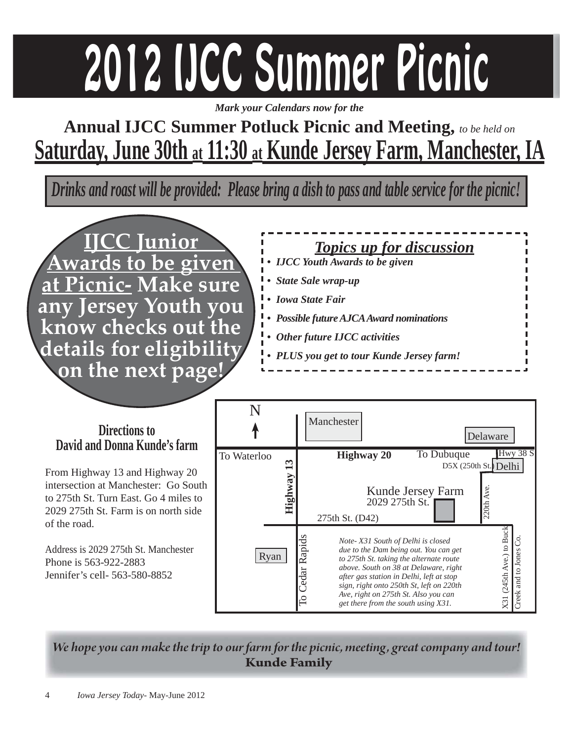# 2012 IJCC Summer Picnic

*Mark your Calendars now for the*

# **Annual IJCC Summer Potluck Picnic and Meeting,** *to be held on* **Saturday, June 30th at 11:30 at Kunde Jersey Farm, Manchester, IA**

*Drinks and roast will be provided: Please bring a dish to pass and table service for the picnic!*

п



*Topics up for discussion • IJCC Youth Awards to be given • State Sale wrap-up • Iowa State Fair • Possible future AJCA Award nominations • Other future IJCC activities • PLUS you get to tour Kunde Jersey farm!*

### N Manchester **Directions to** Delaware **David and Donna Kunde's farm** To Dubuque Hwy 38 S To Waterloo<br> **Highway 20**<br>  $\frac{20}{2029}$ <br>
Highway 20<br>
Kund<br>
2029 **Highway 13** D5X (250th St.) Delhi From Highway 13 and Highway 20 intersection at Manchester: Go South  $220th$  Ave. 220th Ave. Kunde Jersey Farm to 275th St. Turn East. Go 4 miles to 2029 275th St. 2029 275th St. Farm is on north side 275th St. (D42) of the road. X31 (245th Ave.) to Buck X31 (245th Ave.) to Buck Cedar Rapids To Cedar Rapids *Note- X31 South of Delhi is closed*  Creek and to Jones Co. Creek and to Jones Co.Address is 2029 275th St. Manchester *due to the Dam being out. You can get*  Ryan *to 275th St. taking the alternate route*  Phone is 563-922-2883 *above. South on 38 at Delaware, right*  Jennifer's cell- 563-580-8852 *after gas station in Delhi, left at stop sign, right onto 250th St, left on 220th Ave, right on 275th St. Also you can get there from the south using X31.*

*We hope you can make the trip to our farm for the picnic, meeting , great company and tour!* **Kunde Family**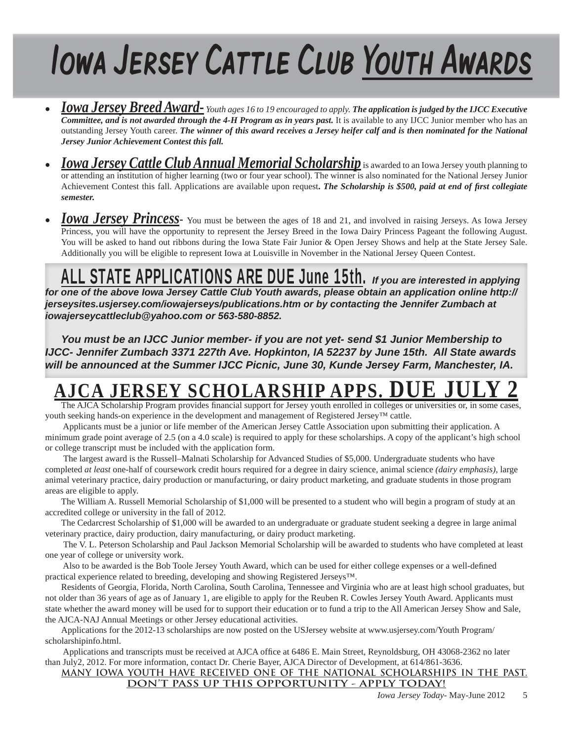# Iowa Jersey Cattle Club Youth Awards

- *Iowa Jersey Breed Award- Youth ages 16 to 19 encouraged to apply. The application is judged by the IJCC Executive Committee, and is not awarded through the 4-H Program as in years past.* **It is available to any IJCC Junior member who has an** outstanding Jersey Youth career. *The winner of this award receives a Jersey heifer calf and is then nominated for the National Jersey Junior Achievement Contest this fall.*
- *Iowa Jersey Cattle Club Annual Memorial Scholarship* is awarded to an Iowa Jersey youth planning to or attending an institution of higher learning (two or four year school). The winner is also nominated for the National Jersey Junior Achievement Contest this fall. Applications are available upon request. The Scholarship is \$500, paid at end of first collegiate *semester.*
- *Iowa Jersey Princess* You must be between the ages of 18 and 21, and involved in raising Jerseys. As Iowa Jersey Princess, you will have the opportunity to represent the Jersey Breed in the Iowa Dairy Princess Pageant the following August. You will be asked to hand out ribbons during the Iowa State Fair Junior & Open Jersey Shows and help at the State Jersey Sale. Additionally you will be eligible to represent Iowa at Louisville in November in the National Jersey Queen Contest.

# ALL STATE APPLICATIONS ARE DUE June 15th. *If you are interested in applying*

*for one of the above Iowa Jersey Cattle Club Youth awards, please obtain an application online http:// jerseysites.usjersey.com/iowajerseys/publications.htm or by contacting the Jennifer Zumbach at iowajerseycattleclub@yahoo.com or 563-580-8852.* 

*You must be an IJCC Junior member- if you are not yet- send \$1 Junior Membership to IJCC- Jennifer Zumbach 3371 227th Ave. Hopkinton, IA 52237 by June 15th. All State awards will be announced at the Summer IJCC Picnic, June 30, Kunde Jersey Farm, Manchester, IA.*

# **AJERSEY SCHOLARSHIP APPS.**

The AJCA Scholarship Program provides financial support for Jersey youth enrolled in colleges or universities or, in some cases, youth seeking hands-on experience in the development and management of Registered Jersey™ cattle.

 Applicants must be a junior or life member of the American Jersey Cattle Association upon submitting their application. A minimum grade point average of 2.5 (on a 4.0 scale) is required to apply for these scholarships. A copy of the applicant's high school or college transcript must be included with the application form.

 The largest award is the Russell–Malnati Scholarship for Advanced Studies of \$5,000. Undergraduate students who have completed *at least* one-half of coursework credit hours required for a degree in dairy science, animal science *(dairy emphasis)*, large animal veterinary practice, dairy production or manufacturing, or dairy product marketing, and graduate students in those program areas are eligible to apply.

The William A. Russell Memorial Scholarship of \$1,000 will be presented to a student who will begin a program of study at an accredited college or university in the fall of 2012.

The Cedarcrest Scholarship of \$1,000 will be awarded to an undergraduate or graduate student seeking a degree in large animal veterinary practice, dairy production, dairy manufacturing, or dairy product marketing.

 The V. L. Peterson Scholarship and Paul Jackson Memorial Scholarship will be awarded to students who have completed at least one year of college or university work.

Also to be awarded is the Bob Toole Jersey Youth Award, which can be used for either college expenses or a well-defined practical experience related to breeding, developing and showing Registered Jerseys™.

Residents of Georgia, Florida, North Carolina, South Carolina, Tennessee and Virginia who are at least high school graduates, but not older than 36 years of age as of January 1, are eligible to apply for the Reuben R. Cowles Jersey Youth Award. Applicants must state whether the award money will be used for to support their education or to fund a trip to the All American Jersey Show and Sale, the AJCA-NAJ Annual Meetings or other Jersey educational activities.

Applications for the 2012-13 scholarships are now posted on the USJersey website at www.usjersey.com/Youth Program/ scholarshipinfo.html.

Applications and transcripts must be received at AJCA office at 6486 E. Main Street, Reynoldsburg, OH 43068-2362 no later than July2, 2012. For more information, contact Dr. Cherie Bayer, AJCA Director of Development, at 614/861-3636.

# **MANY IOWA YOUTH HAVE RECEIVED ONE OF THE NATIONAL SCHOLARSHIPS IN THE PAST.**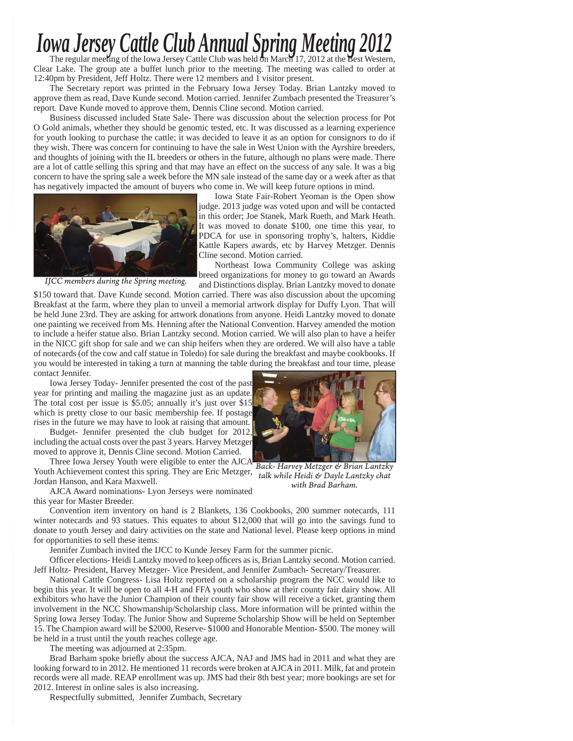# *Iowa Jersey Cattle Club Annual Spring Meeting 2012*<br>The regular meeting of the Iowa Jersey Cattle Club was held on March 17, 2012 at the Best Western,

Clear Lake. The group ate a buffet lunch prior to the meeting. The meeting was called to order at 12:40pm by President, Jeff Holtz. There were 12 members and 1 visitor present.

The Secretary report was printed in the February Iowa Jersey Today. Brian Lantzky moved to approve them as read, Dave Kunde second. Motion carried. Jennifer Zumbach presented the Treasurer's report. Dave Kunde moved to approve them, Dennis Cline second. Motion carried.

Business discussed included State Sale- There was discussion about the selection process for Pot O Gold animals, whether they should be genomic tested, etc. It was discussed as a learning experience for youth looking to purchase the cattle; it was decided to leave it as an option for consignors to do if they wish. There was concern for continuing to have the sale in West Union with the Ayrshire breeders, and thoughts of joining with the IL breeders or others in the future, although no plans were made. There are a lot of cattle selling this spring and that may have an effect on the success of any sale. It was a big concern to have the spring sale a week before the MN sale instead of the same day or a week after as that has negatively impacted the amount of buyers who come in. We will keep future options in mind.



*IJCC members during the Spring meeting.*

Iowa State Fair-Robert Yeoman is the Open show judge. 2013 judge was voted upon and will be contacted in this order; Joe Stanek, Mark Rueth, and Mark Heath. It was moved to donate \$100, one time this year, to PDCA for use in sponsoring trophy's, halters, Kiddie Kattle Kapers awards, etc by Harvey Metzger. Dennis Cline second. Motion carried.

Northeast Iowa Community College was asking breed organizations for money to go toward an Awards and Distinctions display. Brian Lantzky moved to donate

\$150 toward that. Dave Kunde second. Motion carried. There was also discussion about the upcoming Breakfast at the farm, where they plan to unveil a memorial artwork display for Duffy Lyon. That will be held June 23rd. They are asking for artwork donations from anyone. Heidi Lantzky moved to donate one painting we received from Ms. Henning after the National Convention. Harvey amended the motion to include a heifer statue also. Brian Lantzky second. Motion carried. We will also plan to have a heifer in the NICC gift shop for sale and we can ship heifers when they are ordered. We will also have a table of notecards (of the cow and calf statue in Toledo) for sale during the breakfast and maybe cookbooks. If you would be interested in taking a turn at manning the table during the breakfast and tour time, please contact Jennifer.

Iowa Jersey Today- Jennifer presented the cost of the past year for printing and mailing the magazine just as an update. The total cost per issue is \$5.05; annually it's just over \$15 which is pretty close to our basic membership fee. If postage rises in the future we may have to look at raising that amount.

Budget- Jennifer presented the club budget for 2012, including the actual costs over the past 3 years. Harvey Metzger moved to approve it, Dennis Cline second. Motion Carried.

Three Iowa Jersey Youth were eligible to enter the AJCA Youth Achievement contest this spring. They are Eric Metzger, Jordan Hanson, and Kara Maxwell.

AJCA Award nominations- Lyon Jerseys were nominated this year for Master Breeder.



*Back- Harvey Metzger & Brian Lantzky talk while Heidi & Dayle Lantzky chat with Brad Barham.*

Convention item inventory on hand is 2 Blankets, 136 Cookbooks, 200 summer notecards, 111 winter notecards and 93 statues. This equates to about \$12,000 that will go into the savings fund to donate to youth Jersey and dairy activities on the state and National level. Please keep options in mind for opportunities to sell these items.

Jennifer Zumbach invited the IJCC to Kunde Jersey Farm for the summer picnic.

Officer elections- Heidi Lantzky moved to keep officers as is, Brian Lantzky second. Motion carried. Jeff Holtz- President, Harvey Metzger- Vice President, and Jennifer Zumbach- Secretary/Treasurer.

National Cattle Congress- Lisa Holtz reported on a scholarship program the NCC would like to begin this year. It will be open to all 4-H and FFA youth who show at their county fair dairy show. All exhibitors who have the Junior Champion of their county fair show will receive a ticket, granting them involvement in the NCC Showmanship/Scholarship class. More information will be printed within the Spring Iowa Jersey Today. The Junior Show and Supreme Scholarship Show will be held on September 15. The Champion award will be \$2000, Reserve- \$1000 and Honorable Mention- \$500. The money will be held in a trust until the youth reaches college age.

The meeting was adjourned at 2:35pm.

Brad Barham spoke briefly about the success AJCA, NAJ and JMS had in 2011 and what they are looking forward to in 2012. He mentioned 11 records were broken at AJCA in 2011. Milk, fat and protein records were all made. REAP enrollment was up. JMS had their 8th best year; more bookings are set for 2012. Interest in online sales is also increasing.

Respectfully submitted, Jennifer Zumbach, Secretary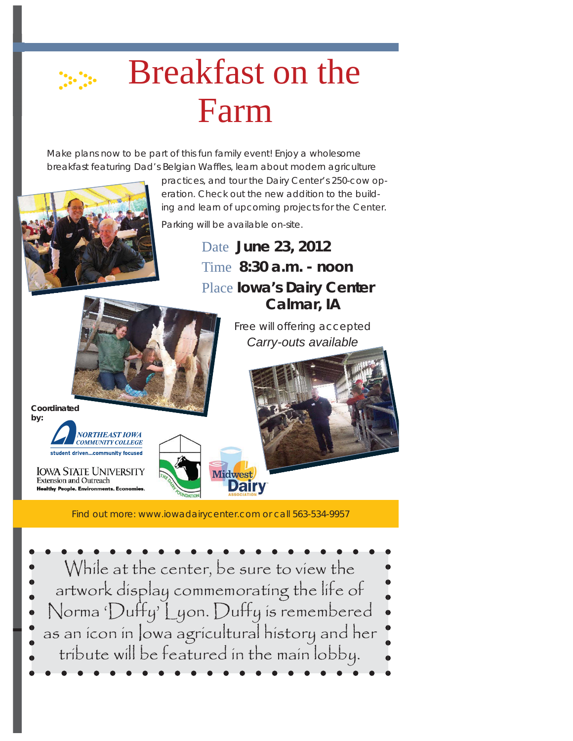# Breakfast on the Farm

Make plans now to be part of this fun family event! Enjoy a wholesome breakfast featuring Dad's Belgian Waffles, learn about modern agriculture

> practices, and tour the Dairy Center's 250-cow operation. Check out the new addition to the building and learn of upcoming projects for the Center.



Parking will be available on-site.

Date **June 23, 2012** Time **8:30 a.m. - noon**  Place **Iowa's Dairy Center Calmar, IA** 

> *Free will offering accepted Carry-outs available*

**Coordinated by:**



**IOWA STATE UNIVERSITY Extension and Outreach Healthy People Environments** 



Find out more: www.iowadairycenter.com or call 563-534-9957

Midwest

**Dairy** 

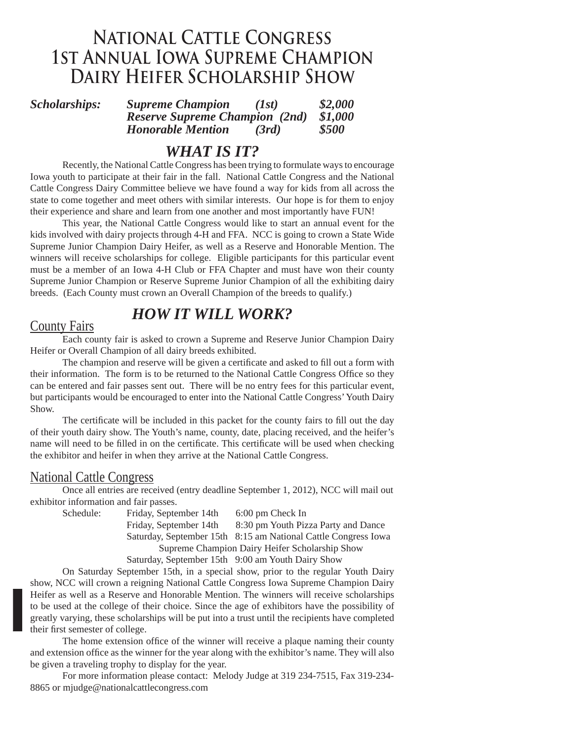# **NATIONAL CATTLE CONGRESS<br>1ST ANNUAL IOWA SUPREME CHAMPION DAIRY HEIFER SCHOLARSHIP SHOW Dairy Heifer Scholarship Show**

*Scholarships: Supreme Champion (1st) \$2,000 Reserve Supreme Champion (2nd) \$1,000 Honorable Mention (3rd) \$500*

# *WHAT IS IT?*

 Recently, the National Cattle Congress has been trying to formulate ways to encourage Iowa youth to participate at their fair in the fall. National Cattle Congress and the National Cattle Congress Dairy Committee believe we have found a way for kids from all across the state to come together and meet others with similar interests. Our hope is for them to enjoy their experience and share and learn from one another and most importantly have FUN!

 This year, the National Cattle Congress would like to start an annual event for the kids involved with dairy projects through 4-H and FFA. NCC is going to crown a State Wide Supreme Junior Champion Dairy Heifer, as well as a Reserve and Honorable Mention. The winners will receive scholarships for college. Eligible participants for this particular event must be a member of an Iowa 4-H Club or FFA Chapter and must have won their county Supreme Junior Champion or Reserve Supreme Junior Champion of all the exhibiting dairy breeds. (Each County must crown an Overall Champion of the breeds to qualify.)

# *HOW IT WILL WORK?*

# County Fairs

 Each county fair is asked to crown a Supreme and Reserve Junior Champion Dairy Heifer or Overall Champion of all dairy breeds exhibited.

The champion and reserve will be given a certificate and asked to fill out a form with their information. The form is to be returned to the National Cattle Congress Office so they can be entered and fair passes sent out. There will be no entry fees for this particular event, but participants would be encouraged to enter into the National Cattle Congress' Youth Dairy Show.

The certificate will be included in this packet for the county fairs to fill out the day of their youth dairy show. The Youth's name, county, date, placing received, and the heifer's name will need to be filled in on the certificate. This certificate will be used when checking the exhibitor and heifer in when they arrive at the National Cattle Congress.

### National Cattle Congress

 Once all entries are received (entry deadline September 1, 2012), NCC will mail out exhibitor information and fair passes.

Schedule: Friday, September 14th 6:00 pm Check In Friday, September 14th 8:30 pm Youth Pizza Party and Dance Saturday, September 15th 8:15 am National Cattle Congress Iowa Supreme Champion Dairy Heifer Scholarship Show Saturday, September 15th 9:00 am Youth Dairy Show

 On Saturday September 15th, in a special show, prior to the regular Youth Dairy show, NCC will crown a reigning National Cattle Congress Iowa Supreme Champion Dairy Heifer as well as a Reserve and Honorable Mention. The winners will receive scholarships to be used at the college of their choice. Since the age of exhibitors have the possibility of greatly varying, these scholarships will be put into a trust until the recipients have completed their first semester of college.

The home extension office of the winner will receive a plaque naming their county and extension office as the winner for the year along with the exhibitor's name. They will also be given a traveling trophy to display for the year.

 For more information please contact: Melody Judge at 319 234-7515, Fax 319-234- 8865 or mjudge@nationalcattlecongress.com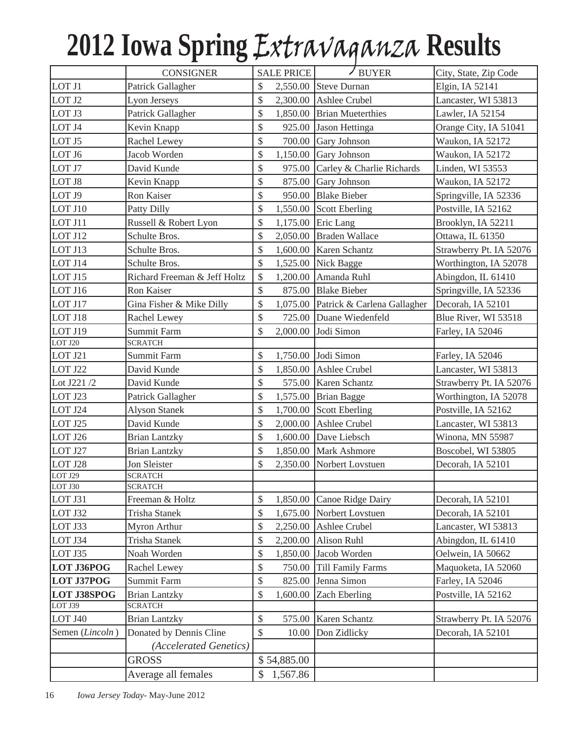# **2012 Iowa Spring** Extravaganza **Results**

|                               | <b>CONSIGNER</b>                        |                     | $\angle$ BUYER<br><b>SALE PRICE</b> |                                      | City, State, Zip Code   |
|-------------------------------|-----------------------------------------|---------------------|-------------------------------------|--------------------------------------|-------------------------|
| LOT J1                        | Patrick Gallagher                       | \$                  |                                     | 2,550.00 Steve Durnan                | Elgin, IA 52141         |
| LOT J2                        | Lyon Jerseys                            | \$                  | 2,300.00                            | Ashlee Crubel                        | Lancaster, WI 53813     |
| LOT J3                        | Patrick Gallagher                       | \$                  |                                     | 1,850.00 Brian Mueterthies           | Lawler, IA 52154        |
| LOT J4                        | Kevin Knapp                             | \$                  | 925.00                              | Jason Hettinga                       | Orange City, IA 51041   |
| LOT J5                        | Rachel Lewey                            | \$                  | 700.00                              | Gary Johnson                         | Waukon, IA 52172        |
| LOT J6                        | Jacob Worden                            | \$                  |                                     | $1,150.00$ Gary Johnson              | Waukon, IA 52172        |
| LOT J7                        | David Kunde                             | \$                  |                                     | 975.00 Carley & Charlie Richards     | Linden, WI 53553        |
| LOT J8                        | Kevin Knapp                             | \$                  | 875.00                              | Gary Johnson                         | Waukon, IA 52172        |
| LOT J9                        | Ron Kaiser                              | $\hat{\mathcal{L}}$ | 950.00                              | <b>Blake Bieber</b>                  | Springville, IA 52336   |
| LOT J10                       | Patty Dilly                             | \$                  |                                     | 1,550.00 Scott Eberling              | Postville, IA 52162     |
| LOT J11                       | Russell & Robert Lyon                   | \$                  |                                     | 1,175.00 Eric Lang                   | Brooklyn, IA 52211      |
| LOT J12                       | Schulte Bros.                           | \$                  |                                     | 2,050.00 Braden Wallace              | Ottawa, IL 61350        |
| LOT J13                       | Schulte Bros.                           | \$                  |                                     | 1,600.00 Karen Schantz               | Strawberry Pt. IA 52076 |
| LOT J14                       | Schulte Bros.                           | \$                  |                                     | 1,525.00 Nick Bagge                  | Worthington, IA 52078   |
| LOT J15                       | Richard Freeman & Jeff Holtz            | \$                  |                                     | 1,200.00 Amanda Ruhl                 | Abingdon, IL 61410      |
| LOT J16                       | Ron Kaiser                              | \$                  |                                     | 875.00 Blake Bieber                  | Springville, IA 52336   |
| LOT J17                       | Gina Fisher & Mike Dilly                | \$                  |                                     | 1,075.00 Patrick & Carlena Gallagher | Decorah, IA 52101       |
| LOT J18                       | Rachel Lewey                            | \$                  |                                     | 725.00 Duane Wiedenfeld              | Blue River, WI 53518    |
| LOT J19                       | <b>Summit Farm</b>                      | \$                  |                                     | 2,000.00 Jodi Simon                  | Farley, IA 52046        |
| LOT J20                       | <b>SCRATCH</b>                          |                     |                                     |                                      |                         |
| LOT J21                       | Summit Farm                             | \$                  |                                     | 1,750.00 Jodi Simon                  | Farley, IA 52046        |
| LOT J22                       | David Kunde                             | \$                  |                                     | 1,850.00 Ashlee Crubel               | Lancaster, WI 53813     |
| Lot J221 /2                   | David Kunde                             | \$                  | 575.00                              | Karen Schantz                        | Strawberry Pt. IA 52076 |
| LOT J23                       | Patrick Gallagher                       | \$                  |                                     | $1,575.00$ Brian Bagge               | Worthington, IA 52078   |
| LOT J24                       | <b>Alyson Stanek</b>                    | \$                  |                                     | 1,700.00 Scott Eberling              | Postville, IA 52162     |
| LOT J25                       | David Kunde                             | \$                  |                                     | 2,000.00 Ashlee Crubel               | Lancaster, WI 53813     |
| LOT J26                       | <b>Brian Lantzky</b>                    | \$                  |                                     | 1,600.00 Dave Liebsch                | Winona, MN 55987        |
| LOT J27                       | <b>Brian Lantzky</b>                    | \$                  |                                     | 1,850.00 Mark Ashmore                | Boscobel, WI 53805      |
| LOT J28                       | Jon Sleister                            | \$                  | 2,350.00                            | Norbert Lovstuen                     | Decorah, IA 52101       |
| LOT J29                       | <b>SCRATCH</b>                          |                     |                                     |                                      |                         |
| LOT J30                       | <b>SCRATCH</b>                          |                     |                                     |                                      |                         |
| LOT J31                       | Freeman & Holtz<br><b>Trisha Stanek</b> | \$                  | 1,850.00                            | Canoe Ridge Dairy                    | Decorah, IA 52101       |
| LOT J32                       |                                         | \$                  | 1,675.00                            | Norbert Lovstuen                     | Decorah, IA 52101       |
| LOT J33                       | Myron Arthur                            | \$                  | 2,250.00                            | Ashlee Crubel                        | Lancaster, WI 53813     |
| LOT J34                       | <b>Trisha Stanek</b><br>Noah Worden     | \$                  | 2,200.00                            | Alison Ruhl<br>Jacob Worden          | Abingdon, IL 61410      |
| LOT J35                       |                                         | \$                  | 1,850.00                            |                                      | Oelwein, IA 50662       |
| LOT J36POG                    | Rachel Lewey                            | \$                  | 750.00                              | <b>Till Family Farms</b>             | Maquoketa, IA 52060     |
| <b>LOT J37POG</b>             | Summit Farm                             | \$                  | 825.00                              | Jenna Simon                          | Farley, IA 52046        |
| <b>LOT J38SPOG</b><br>LOT J39 | <b>Brian Lantzky</b><br><b>SCRATCH</b>  | \$                  | 1,600.00                            | Zach Eberling                        | Postville, IA 52162     |
| LOT J40                       | <b>Brian Lantzky</b>                    | \$                  | 575.00                              | Karen Schantz                        | Strawberry Pt. IA 52076 |
| Semen (Lincoln)               | Donated by Dennis Cline                 | \$                  | 10.00                               | Don Zidlicky                         | Decorah, IA 52101       |
|                               | (Accelerated Genetics)                  |                     |                                     |                                      |                         |
|                               | <b>GROSS</b>                            |                     | \$54,885.00                         |                                      |                         |
|                               | Average all females                     | S                   | 1,567.86                            |                                      |                         |
|                               |                                         |                     |                                     |                                      |                         |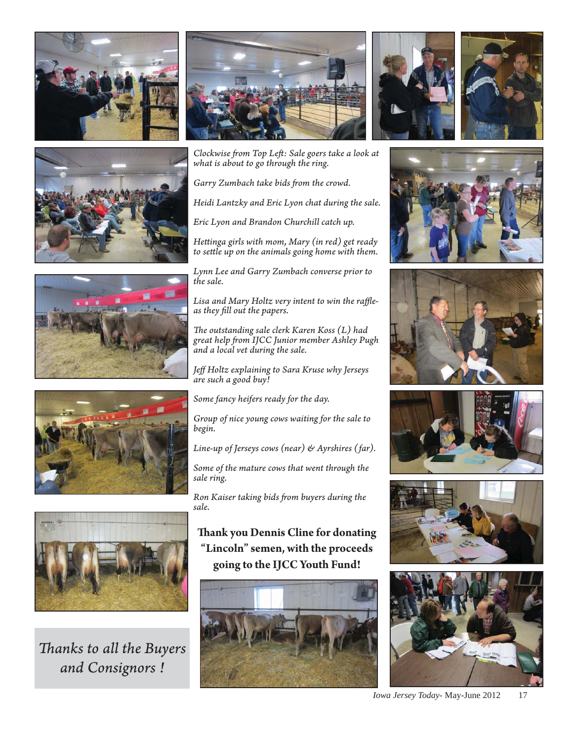









*Th anks to all the Buyers and Consignors !*



*Clockwise fr om Top Left : Sale goers take a look at what is about to go through the ring.*

Garry Zumbach take bids from the crowd.

*Heidi Lantzky and Eric Lyon chat during the sale.*

*Eric Lyon and Brandon Churchill catch up.*

*Hett inga girls with mom, Mary (in red) get ready*  to settle up on the animals going home with them.

*Lynn Lee and Garry Zumbach converse prior to the sale.*

Lisa and Mary Holtz very intent to win the raffle*as they fill out the papers.* 

The outstanding sale clerk Karen Koss (L) had *great help fr om IJCC Junior member Ashley Pugh and a local vet during the sale.*

*Jeff Holtz explaining to Sara Kruse why Jerseys are such a good buy!*

*Some fancy heifers ready for the day.*

*Group of nice young cows waiting for the sale to begin.*

*Line-up of Jerseys cows (near) & Ayrshires (far).*

*Some of the mature cows that went through the sale ring.*

**Ron Kaiser taking bids from buyers during the** *sale.*

**Th ank you Dennis Cline for donating "Lincoln" semen, with the proceeds going to the IJCC Youth Fund!**















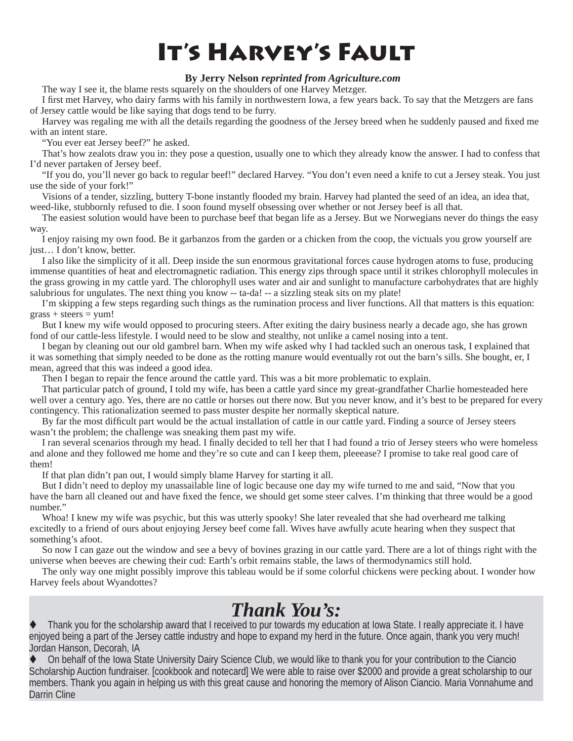# **It's Harvey's Fault**

### **By Jerry Nelson** *reprinted from Agriculture.com*

The way I see it, the blame rests squarely on the shoulders of one Harvey Metzger.

I first met Harvey, who dairy farms with his family in northwestern Iowa, a few years back. To say that the Metzgers are fans of Jersey cattle would be like saying that dogs tend to be furry.

Harvey was regaling me with all the details regarding the goodness of the Jersey breed when he suddenly paused and fixed me with an intent stare.

"You ever eat Jersey beef?" he asked.

That's how zealots draw you in: they pose a question, usually one to which they already know the answer. I had to confess that I'd never partaken of Jersey beef.

"If you do, you'll never go back to regular beef!" declared Harvey. "You don't even need a knife to cut a Jersey steak. You just use the side of your fork!"

Visions of a tender, sizzling, buttery T-bone instantly flooded my brain. Harvey had planted the seed of an idea, an idea that, weed-like, stubbornly refused to die. I soon found myself obsessing over whether or not Jersey beef is all that.

The easiest solution would have been to purchase beef that began life as a Jersey. But we Norwegians never do things the easy way.

I enjoy raising my own food. Be it garbanzos from the garden or a chicken from the coop, the victuals you grow yourself are just… I don't know, better.

I also like the simplicity of it all. Deep inside the sun enormous gravitational forces cause hydrogen atoms to fuse, producing immense quantities of heat and electromagnetic radiation. This energy zips through space until it strikes chlorophyll molecules in the grass growing in my cattle yard. The chlorophyll uses water and air and sunlight to manufacture carbohydrates that are highly salubrious for ungulates. The next thing you know -- ta-da! -- a sizzling steak sits on my plate!

I'm skipping a few steps regarding such things as the rumination process and liver functions. All that matters is this equation:  $erass + steers = \text{vum}!$ 

But I knew my wife would opposed to procuring steers. After exiting the dairy business nearly a decade ago, she has grown fond of our cattle-less lifestyle. I would need to be slow and stealthy, not unlike a camel nosing into a tent.

I began by cleaning out our old gambrel barn. When my wife asked why I had tackled such an onerous task, I explained that it was something that simply needed to be done as the rotting manure would eventually rot out the barn's sills. She bought, er, I mean, agreed that this was indeed a good idea.

Then I began to repair the fence around the cattle yard. This was a bit more problematic to explain.

That particular patch of ground, I told my wife, has been a cattle yard since my great-grandfather Charlie homesteaded here well over a century ago. Yes, there are no cattle or horses out there now. But you never know, and it's best to be prepared for every contingency. This rationalization seemed to pass muster despite her normally skeptical nature.

By far the most difficult part would be the actual installation of cattle in our cattle yard. Finding a source of Jersey steers wasn't the problem; the challenge was sneaking them past my wife.

I ran several scenarios through my head. I finally decided to tell her that I had found a trio of Jersey steers who were homeless and alone and they followed me home and they're so cute and can I keep them, pleeease? I promise to take real good care of them!

If that plan didn't pan out, I would simply blame Harvey for starting it all.

But I didn't need to deploy my unassailable line of logic because one day my wife turned to me and said, "Now that you have the barn all cleaned out and have fixed the fence, we should get some steer calves. I'm thinking that three would be a good number"

Whoa! I knew my wife was psychic, but this was utterly spooky! She later revealed that she had overheard me talking excitedly to a friend of ours about enjoying Jersey beef come fall. Wives have awfully acute hearing when they suspect that something's afoot.

So now I can gaze out the window and see a bevy of bovines grazing in our cattle yard. There are a lot of things right with the universe when beeves are chewing their cud: Earth's orbit remains stable, the laws of thermodynamics still hold.

The only way one might possibly improve this tableau would be if some colorful chickens were pecking about. I wonder how Harvey feels about Wyandottes?

# *Thank You's:*

Thank you for the scholarship award that I received to pur towards my education at Iowa State. I really appreciate it. I have enjoyed being a part of the Jersey cattle industry and hope to expand my herd in the future. Once again, thank you very much! Jordan Hanson, Decorah, IA

22 *Iowa Jersey Today*- May-June 2012 Darrin Cline On behalf of the Iowa State University Dairy Science Club, we would like to thank you for your contribution to the Ciancio Scholarship Auction fundraiser. [cookbook and notecard] We were able to raise over \$2000 and provide a great scholarship to our members. Thank you again in helping us with this great cause and honoring the memory of Alison Ciancio. Maria Vonnahume and